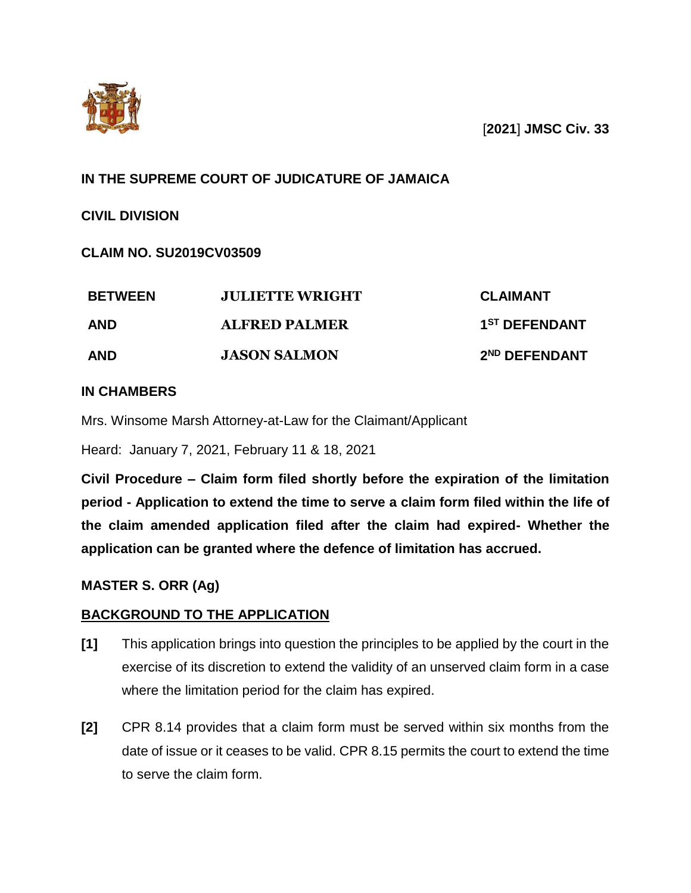

[**2021**] **JMSC Civ. 33**

# **IN THE SUPREME COURT OF JUDICATURE OF JAMAICA**

**CIVIL DIVISION**

# **CLAIM NO. SU2019CV03509**

| <b>BETWEEN</b> | <b>JULIETTE WRIGHT</b> | <b>CLAIMANT</b>           |
|----------------|------------------------|---------------------------|
| <b>AND</b>     | <b>ALFRED PALMER</b>   | 1 <sup>ST</sup> DEFENDANT |
| <b>AND</b>     | <b>JASON SALMON</b>    | 2 <sup>ND</sup> DEFENDANT |

## **IN CHAMBERS**

Mrs. Winsome Marsh Attorney-at-Law for the Claimant/Applicant

Heard: January 7, 2021, February 11 & 18, 2021

**Civil Procedure – Claim form filed shortly before the expiration of the limitation period - Application to extend the time to serve a claim form filed within the life of the claim amended application filed after the claim had expired- Whether the application can be granted where the defence of limitation has accrued.**

# **MASTER S. ORR (Ag)**

### **BACKGROUND TO THE APPLICATION**

- **[1]** This application brings into question the principles to be applied by the court in the exercise of its discretion to extend the validity of an unserved claim form in a case where the limitation period for the claim has expired.
- **[2]** CPR 8.14 provides that a claim form must be served within six months from the date of issue or it ceases to be valid. CPR 8.15 permits the court to extend the time to serve the claim form.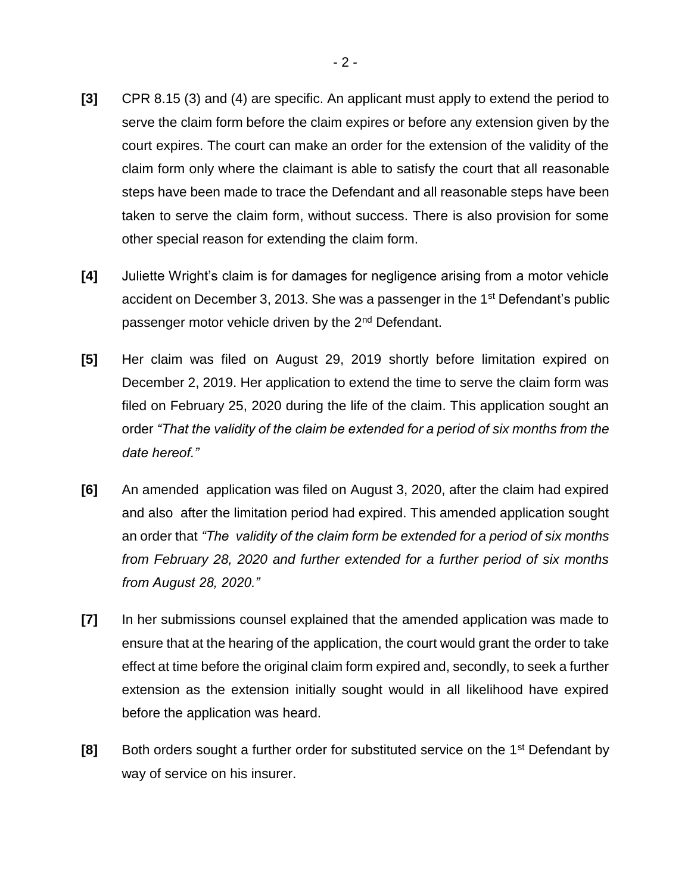- **[3]** CPR 8.15 (3) and (4) are specific. An applicant must apply to extend the period to serve the claim form before the claim expires or before any extension given by the court expires. The court can make an order for the extension of the validity of the claim form only where the claimant is able to satisfy the court that all reasonable steps have been made to trace the Defendant and all reasonable steps have been taken to serve the claim form, without success. There is also provision for some other special reason for extending the claim form.
- **[4]** Juliette Wright's claim is for damages for negligence arising from a motor vehicle accident on December 3, 2013. She was a passenger in the 1<sup>st</sup> Defendant's public passenger motor vehicle driven by the 2<sup>nd</sup> Defendant.
- **[5]** Her claim was filed on August 29, 2019 shortly before limitation expired on December 2, 2019. Her application to extend the time to serve the claim form was filed on February 25, 2020 during the life of the claim. This application sought an order *"That the validity of the claim be extended for a period of six months from the date hereof."*
- **[6]** An amended application was filed on August 3, 2020, after the claim had expired and also after the limitation period had expired. This amended application sought an order that *"The validity of the claim form be extended for a period of six months from February 28, 2020 and further extended for a further period of six months from August 28, 2020."*
- **[7]** In her submissions counsel explained that the amended application was made to ensure that at the hearing of the application, the court would grant the order to take effect at time before the original claim form expired and, secondly, to seek a further extension as the extension initially sought would in all likelihood have expired before the application was heard.
- **[8]** Both orders sought a further order for substituted service on the 1<sup>st</sup> Defendant by way of service on his insurer.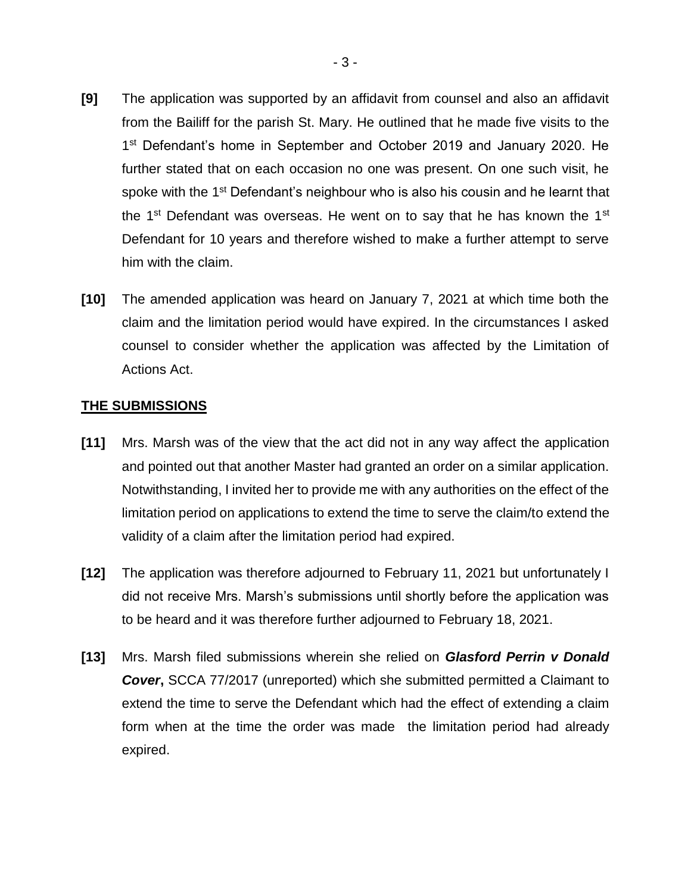- **[9]** The application was supported by an affidavit from counsel and also an affidavit from the Bailiff for the parish St. Mary. He outlined that he made five visits to the 1<sup>st</sup> Defendant's home in September and October 2019 and January 2020. He further stated that on each occasion no one was present. On one such visit, he spoke with the 1<sup>st</sup> Defendant's neighbour who is also his cousin and he learnt that the  $1<sup>st</sup>$  Defendant was overseas. He went on to say that he has known the  $1<sup>st</sup>$ Defendant for 10 years and therefore wished to make a further attempt to serve him with the claim.
- **[10]** The amended application was heard on January 7, 2021 at which time both the claim and the limitation period would have expired. In the circumstances I asked counsel to consider whether the application was affected by the Limitation of Actions Act.

#### **THE SUBMISSIONS**

- **[11]** Mrs. Marsh was of the view that the act did not in any way affect the application and pointed out that another Master had granted an order on a similar application. Notwithstanding, I invited her to provide me with any authorities on the effect of the limitation period on applications to extend the time to serve the claim/to extend the validity of a claim after the limitation period had expired.
- **[12]** The application was therefore adjourned to February 11, 2021 but unfortunately I did not receive Mrs. Marsh's submissions until shortly before the application was to be heard and it was therefore further adjourned to February 18, 2021.
- **[13]** Mrs. Marsh filed submissions wherein she relied on *Glasford Perrin v Donald Cover***,** SCCA 77/2017 (unreported) which she submitted permitted a Claimant to extend the time to serve the Defendant which had the effect of extending a claim form when at the time the order was made the limitation period had already expired.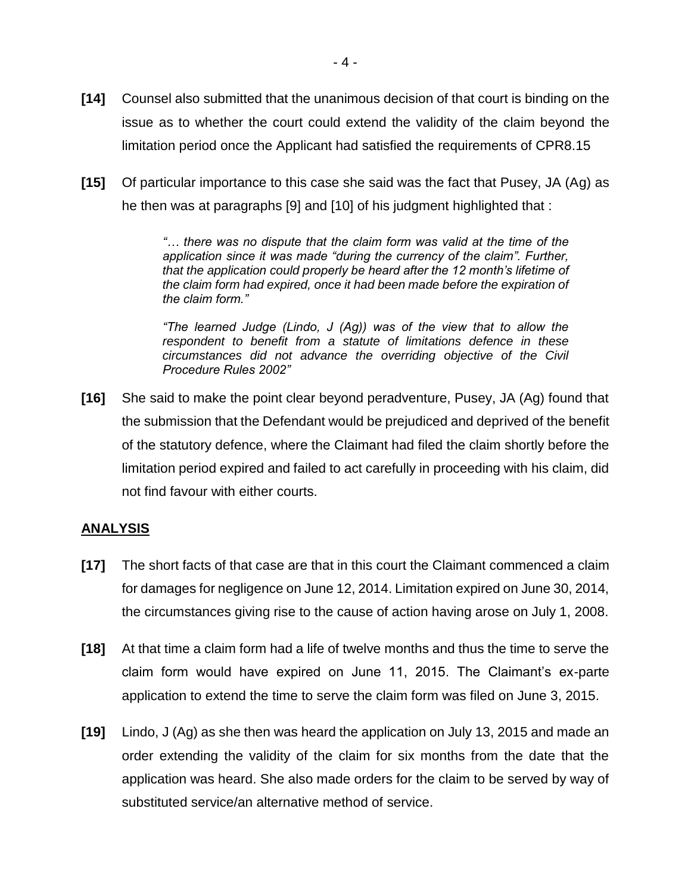- **[14]** Counsel also submitted that the unanimous decision of that court is binding on the issue as to whether the court could extend the validity of the claim beyond the limitation period once the Applicant had satisfied the requirements of CPR8.15
- **[15]** Of particular importance to this case she said was the fact that Pusey, JA (Ag) as he then was at paragraphs [9] and [10] of his judgment highlighted that :

*"… there was no dispute that the claim form was valid at the time of the application since it was made "during the currency of the claim". Further, that the application could properly be heard after the 12 month's lifetime of the claim form had expired, once it had been made before the expiration of the claim form."*

*"The learned Judge (Lindo, J (Ag)) was of the view that to allow the respondent to benefit from a statute of limitations defence in these circumstances did not advance the overriding objective of the Civil Procedure Rules 2002"*

**[16]** She said to make the point clear beyond peradventure, Pusey, JA (Ag) found that the submission that the Defendant would be prejudiced and deprived of the benefit of the statutory defence, where the Claimant had filed the claim shortly before the limitation period expired and failed to act carefully in proceeding with his claim, did not find favour with either courts.

### **ANALYSIS**

- **[17]** The short facts of that case are that in this court the Claimant commenced a claim for damages for negligence on June 12, 2014. Limitation expired on June 30, 2014, the circumstances giving rise to the cause of action having arose on July 1, 2008.
- **[18]** At that time a claim form had a life of twelve months and thus the time to serve the claim form would have expired on June 11, 2015. The Claimant's ex-parte application to extend the time to serve the claim form was filed on June 3, 2015.
- **[19]** Lindo, J (Ag) as she then was heard the application on July 13, 2015 and made an order extending the validity of the claim for six months from the date that the application was heard. She also made orders for the claim to be served by way of substituted service/an alternative method of service.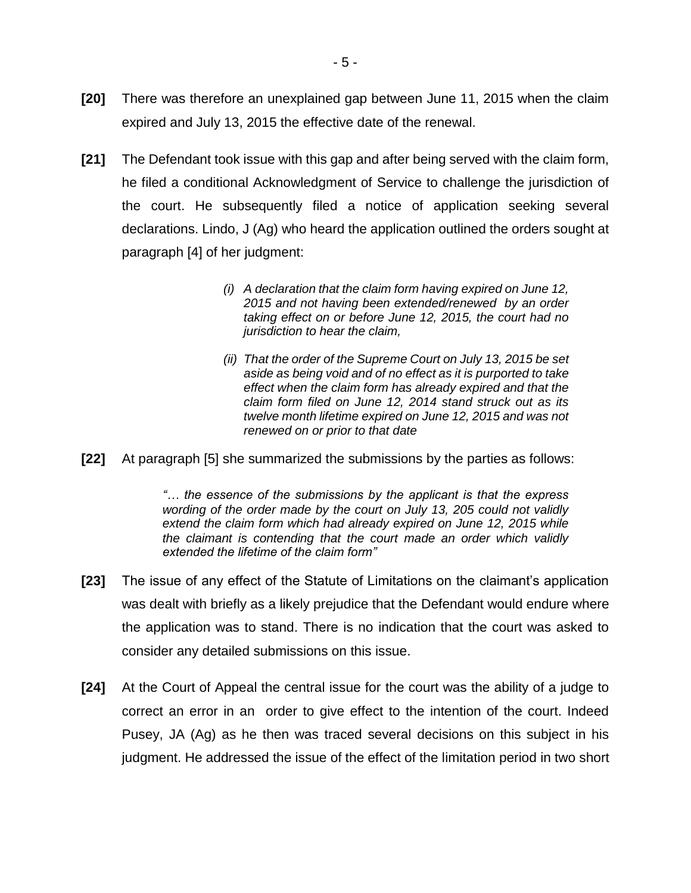- **[20]** There was therefore an unexplained gap between June 11, 2015 when the claim expired and July 13, 2015 the effective date of the renewal.
- **[21]** The Defendant took issue with this gap and after being served with the claim form, he filed a conditional Acknowledgment of Service to challenge the jurisdiction of the court. He subsequently filed a notice of application seeking several declarations. Lindo, J (Ag) who heard the application outlined the orders sought at paragraph [4] of her judgment:
	- *(i) A declaration that the claim form having expired on June 12, 2015 and not having been extended/renewed by an order taking effect on or before June 12, 2015, the court had no jurisdiction to hear the claim,*
	- *(ii) That the order of the Supreme Court on July 13, 2015 be set aside as being void and of no effect as it is purported to take effect when the claim form has already expired and that the claim form filed on June 12, 2014 stand struck out as its twelve month lifetime expired on June 12, 2015 and was not renewed on or prior to that date*
- **[22]** At paragraph [5] she summarized the submissions by the parties as follows:

*"… the essence of the submissions by the applicant is that the express wording of the order made by the court on July 13, 205 could not validly*  extend the claim form which had already expired on June 12, 2015 while *the claimant is contending that the court made an order which validly extended the lifetime of the claim form"*

- **[23]** The issue of any effect of the Statute of Limitations on the claimant's application was dealt with briefly as a likely prejudice that the Defendant would endure where the application was to stand. There is no indication that the court was asked to consider any detailed submissions on this issue.
- **[24]** At the Court of Appeal the central issue for the court was the ability of a judge to correct an error in an order to give effect to the intention of the court. Indeed Pusey, JA (Ag) as he then was traced several decisions on this subject in his judgment. He addressed the issue of the effect of the limitation period in two short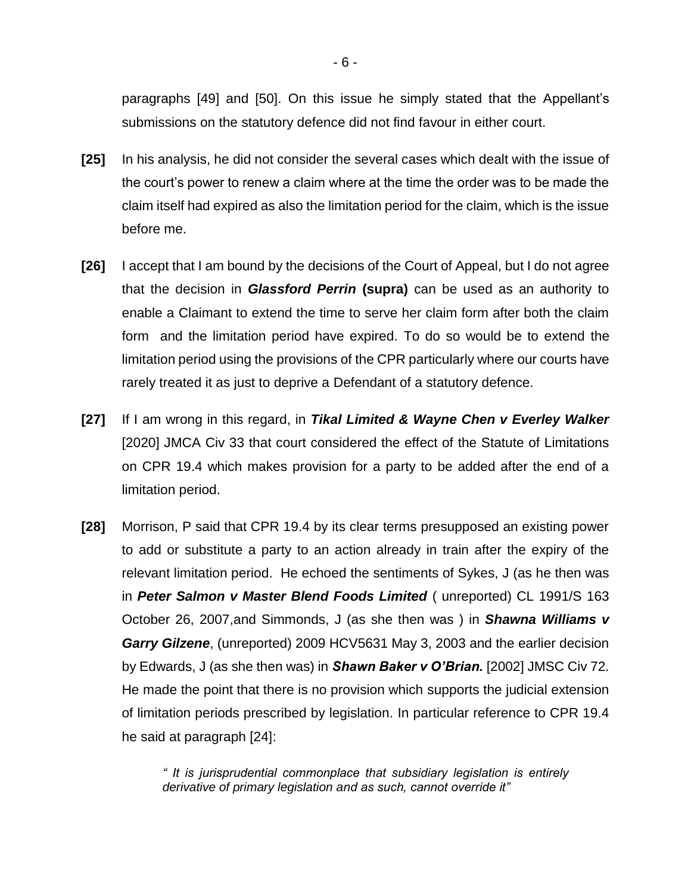paragraphs [49] and [50]. On this issue he simply stated that the Appellant's submissions on the statutory defence did not find favour in either court.

- **[25]** In his analysis, he did not consider the several cases which dealt with the issue of the court's power to renew a claim where at the time the order was to be made the claim itself had expired as also the limitation period for the claim, which is the issue before me.
- **[26]** I accept that I am bound by the decisions of the Court of Appeal, but I do not agree that the decision in *Glassford Perrin* **(supra)** can be used as an authority to enable a Claimant to extend the time to serve her claim form after both the claim form and the limitation period have expired. To do so would be to extend the limitation period using the provisions of the CPR particularly where our courts have rarely treated it as just to deprive a Defendant of a statutory defence.
- **[27]** If I am wrong in this regard, in *Tikal Limited & Wayne Chen v Everley Walker*  [2020] JMCA Civ 33 that court considered the effect of the Statute of Limitations on CPR 19.4 which makes provision for a party to be added after the end of a limitation period.
- **[28]** Morrison, P said that CPR 19.4 by its clear terms presupposed an existing power to add or substitute a party to an action already in train after the expiry of the relevant limitation period. He echoed the sentiments of Sykes, J (as he then was in *Peter Salmon v Master Blend Foods Limited* ( unreported) CL 1991/S 163 October 26, 2007,and Simmonds, J (as she then was ) in *Shawna Williams v Garry Gilzene*, (unreported) 2009 HCV5631 May 3, 2003 and the earlier decision by Edwards, J (as she then was) in *Shawn Baker v O'Brian.* [2002] JMSC Civ 72. He made the point that there is no provision which supports the judicial extension of limitation periods prescribed by legislation. In particular reference to CPR 19.4 he said at paragraph [24]:

*" It is jurisprudential commonplace that subsidiary legislation is entirely derivative of primary legislation and as such, cannot override it"*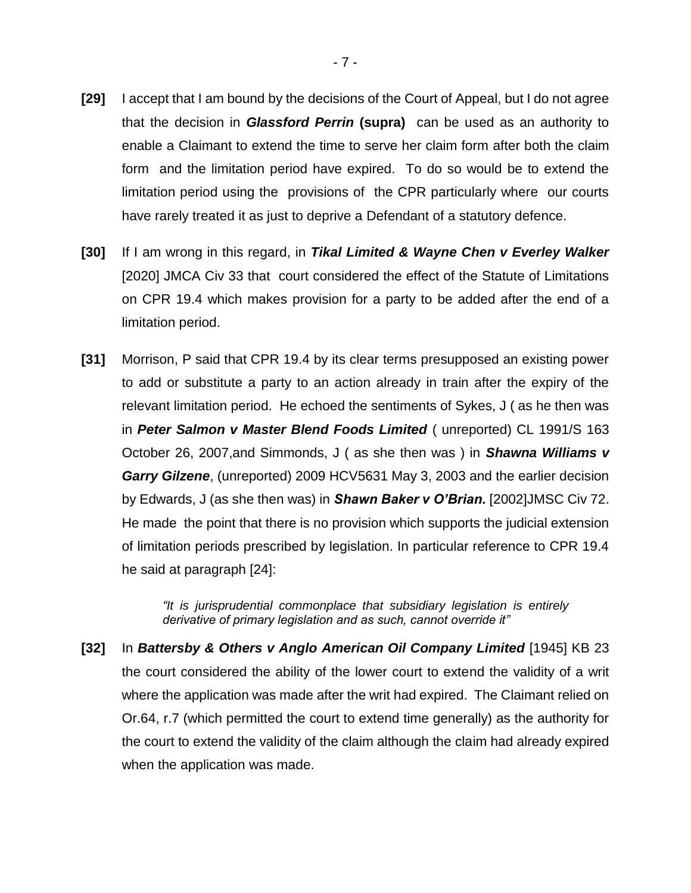- **[29]** I accept that I am bound by the decisions of the Court of Appeal, but I do not agree that the decision in *Glassford Perrin* **(supra)** can be used as an authority to enable a Claimant to extend the time to serve her claim form after both the claim form and the limitation period have expired. To do so would be to extend the limitation period using the provisions of the CPR particularly where our courts have rarely treated it as just to deprive a Defendant of a statutory defence.
- **[30]** If I am wrong in this regard, in *Tikal Limited & Wayne Chen v Everley Walker*  [2020] JMCA Civ 33 that court considered the effect of the Statute of Limitations on CPR 19.4 which makes provision for a party to be added after the end of a limitation period.
- **[31]** Morrison, P said that CPR 19.4 by its clear terms presupposed an existing power to add or substitute a party to an action already in train after the expiry of the relevant limitation period. He echoed the sentiments of Sykes, J ( as he then was in *Peter Salmon v Master Blend Foods Limited* ( unreported) CL 1991/S 163 October 26, 2007,and Simmonds, J ( as she then was ) in *Shawna Williams v Garry Gilzene*, (unreported) 2009 HCV5631 May 3, 2003 and the earlier decision by Edwards, J (as she then was) in *Shawn Baker v O'Brian.* [2002]JMSC Civ 72. He made the point that there is no provision which supports the judicial extension of limitation periods prescribed by legislation. In particular reference to CPR 19.4 he said at paragraph [24]:

*"It is jurisprudential commonplace that subsidiary legislation is entirely derivative of primary legislation and as such, cannot override it"*

**[32]** In *Battersby & Others v Anglo American Oil Company Limited* [1945] KB 23 the court considered the ability of the lower court to extend the validity of a writ where the application was made after the writ had expired. The Claimant relied on Or.64, r.7 (which permitted the court to extend time generally) as the authority for the court to extend the validity of the claim although the claim had already expired when the application was made.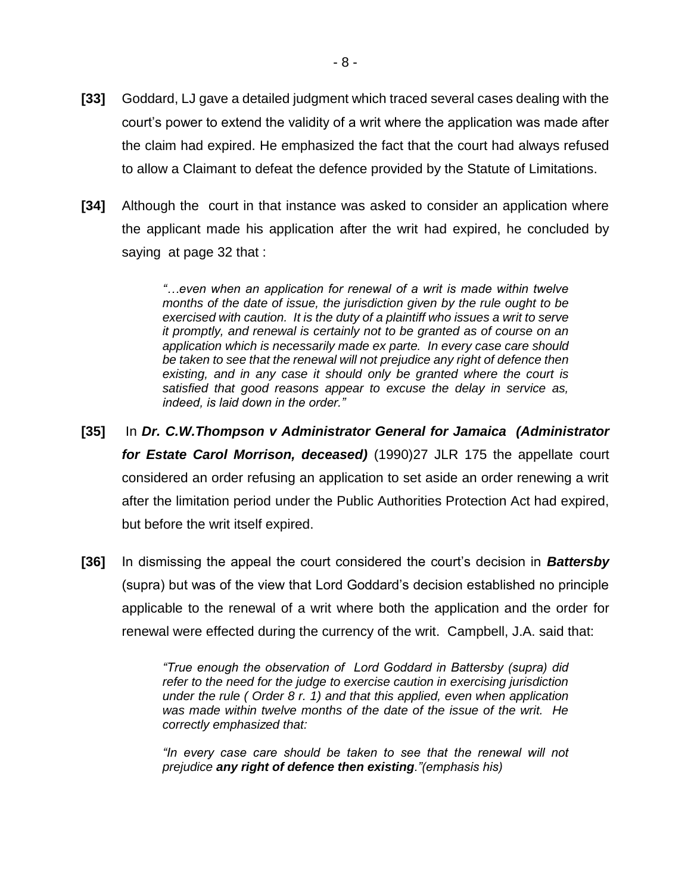- **[33]** Goddard, LJ gave a detailed judgment which traced several cases dealing with the court's power to extend the validity of a writ where the application was made after the claim had expired. He emphasized the fact that the court had always refused to allow a Claimant to defeat the defence provided by the Statute of Limitations.
- **[34]** Although the court in that instance was asked to consider an application where the applicant made his application after the writ had expired, he concluded by saying at page 32 that :

*"…even when an application for renewal of a writ is made within twelve months of the date of issue, the jurisdiction given by the rule ought to be exercised with caution. It is the duty of a plaintiff who issues a writ to serve it promptly, and renewal is certainly not to be granted as of course on an application which is necessarily made ex parte. In every case care should be taken to see that the renewal will not prejudice any right of defence then existing, and in any case it should only be granted where the court is satisfied that good reasons appear to excuse the delay in service as, indeed, is laid down in the order."*

- **[35]** In *Dr. C.W.Thompson v Administrator General for Jamaica (Administrator for Estate Carol Morrison, deceased)* (1990)27 JLR 175 the appellate court considered an order refusing an application to set aside an order renewing a writ after the limitation period under the Public Authorities Protection Act had expired, but before the writ itself expired.
- **[36]** In dismissing the appeal the court considered the court's decision in *Battersby*  (supra) but was of the view that Lord Goddard's decision established no principle applicable to the renewal of a writ where both the application and the order for renewal were effected during the currency of the writ. Campbell, J.A. said that:

*"True enough the observation of Lord Goddard in Battersby (supra) did refer to the need for the judge to exercise caution in exercising jurisdiction under the rule ( Order 8 r. 1) and that this applied, even when application was made within twelve months of the date of the issue of the writ. He correctly emphasized that:*

*"In every case care should be taken to see that the renewal will not prejudice any right of defence then existing."(emphasis his)*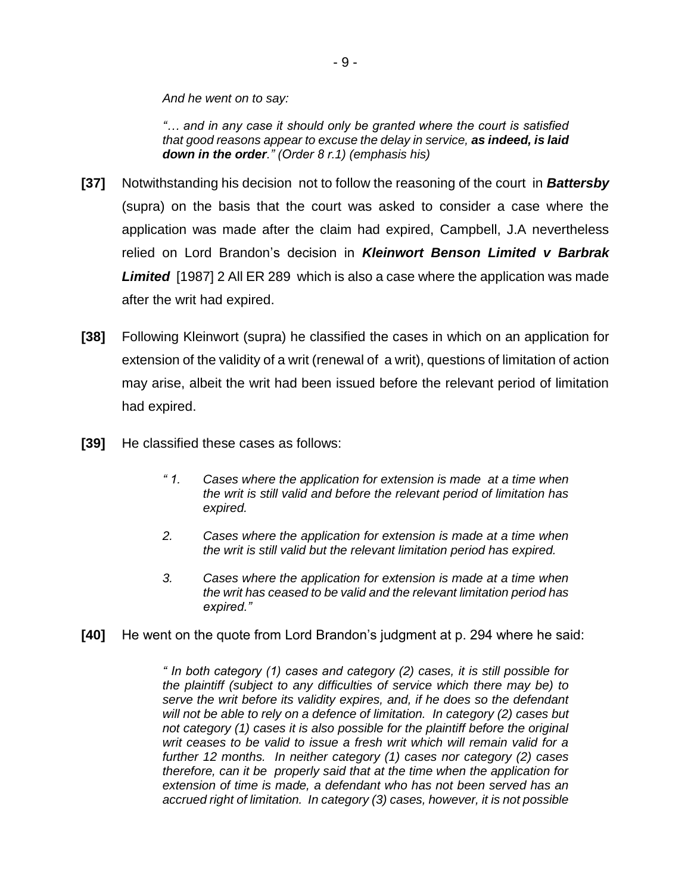*And he went on to say:*

*"… and in any case it should only be granted where the court is satisfied that good reasons appear to excuse the delay in service, as indeed, is laid down in the order." (Order 8 r.1) (emphasis his)*

- **[37]** Notwithstanding his decision not to follow the reasoning of the court in *Battersby*  (supra) on the basis that the court was asked to consider a case where the application was made after the claim had expired, Campbell, J.A nevertheless relied on Lord Brandon's decision in *Kleinwort Benson Limited v Barbrak Limited* [1987] 2 All ER 289 which is also a case where the application was made after the writ had expired.
- **[38]** Following Kleinwort (supra) he classified the cases in which on an application for extension of the validity of a writ (renewal of a writ), questions of limitation of action may arise, albeit the writ had been issued before the relevant period of limitation had expired.
- **[39]** He classified these cases as follows:
	- *" 1. Cases where the application for extension is made at a time when the writ is still valid and before the relevant period of limitation has expired.*
	- *2. Cases where the application for extension is made at a time when the writ is still valid but the relevant limitation period has expired.*
	- *3. Cases where the application for extension is made at a time when the writ has ceased to be valid and the relevant limitation period has expired."*
- **[40]** He went on the quote from Lord Brandon's judgment at p. 294 where he said:

*" In both category (1) cases and category (2) cases, it is still possible for the plaintiff (subject to any difficulties of service which there may be) to serve the writ before its validity expires, and, if he does so the defendant will not be able to rely on a defence of limitation. In category (2) cases but not category (1) cases it is also possible for the plaintiff before the original writ ceases to be valid to issue a fresh writ which will remain valid for a further 12 months. In neither category (1) cases nor category (2) cases therefore, can it be properly said that at the time when the application for extension of time is made, a defendant who has not been served has an accrued right of limitation. In category (3) cases, however, it is not possible*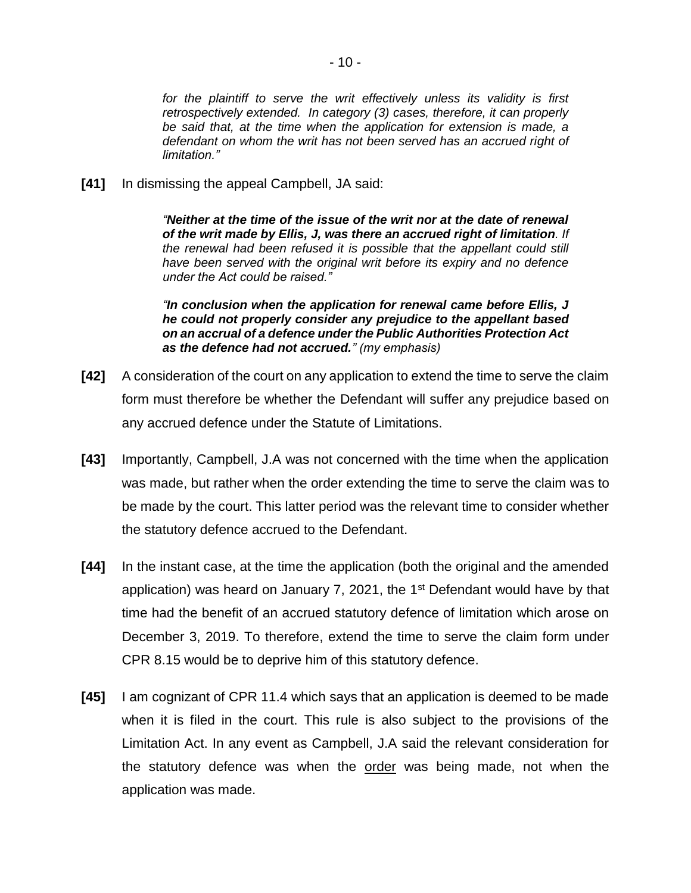for the plaintiff to serve the writ effectively unless its validity is first *retrospectively extended. In category (3) cases, therefore, it can properly be said that, at the time when the application for extension is made, a defendant on whom the writ has not been served has an accrued right of limitation."*

**[41]** In dismissing the appeal Campbell, JA said:

*"Neither at the time of the issue of the writ nor at the date of renewal of the writ made by Ellis, J, was there an accrued right of limitation. If the renewal had been refused it is possible that the appellant could still have been served with the original writ before its expiry and no defence under the Act could be raised."*

*"In conclusion when the application for renewal came before Ellis, J he could not properly consider any prejudice to the appellant based on an accrual of a defence under the Public Authorities Protection Act as the defence had not accrued." (my emphasis)*

- **[42]** A consideration of the court on any application to extend the time to serve the claim form must therefore be whether the Defendant will suffer any prejudice based on any accrued defence under the Statute of Limitations.
- **[43]** Importantly, Campbell, J.A was not concerned with the time when the application was made, but rather when the order extending the time to serve the claim was to be made by the court. This latter period was the relevant time to consider whether the statutory defence accrued to the Defendant.
- **[44]** In the instant case, at the time the application (both the original and the amended application) was heard on January 7, 2021, the  $1<sup>st</sup>$  Defendant would have by that time had the benefit of an accrued statutory defence of limitation which arose on December 3, 2019. To therefore, extend the time to serve the claim form under CPR 8.15 would be to deprive him of this statutory defence.
- **[45]** I am cognizant of CPR 11.4 which says that an application is deemed to be made when it is filed in the court. This rule is also subject to the provisions of the Limitation Act. In any event as Campbell, J.A said the relevant consideration for the statutory defence was when the order was being made, not when the application was made.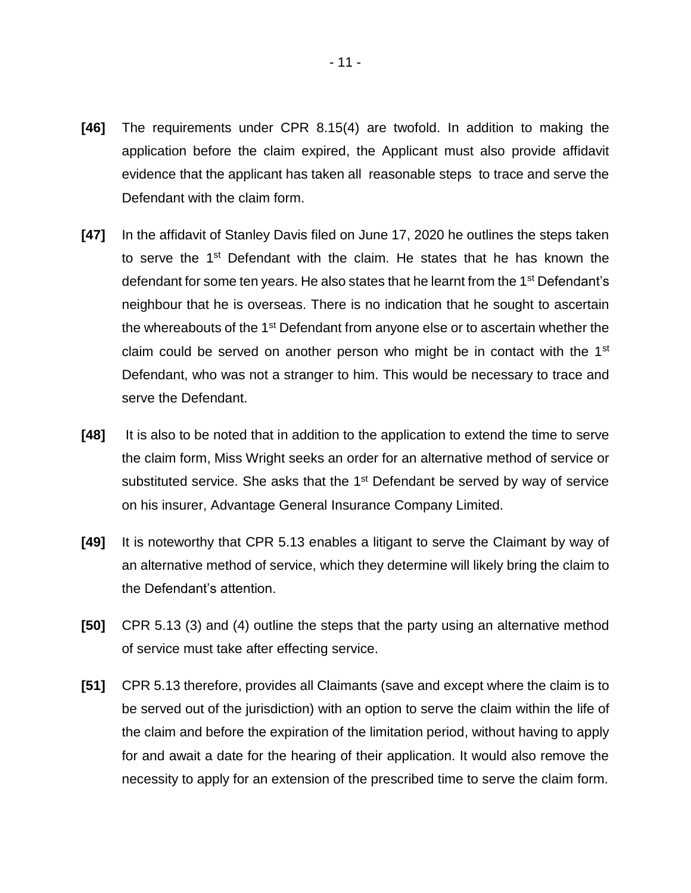- **[46]** The requirements under CPR 8.15(4) are twofold. In addition to making the application before the claim expired, the Applicant must also provide affidavit evidence that the applicant has taken all reasonable steps to trace and serve the Defendant with the claim form.
- **[47]** In the affidavit of Stanley Davis filed on June 17, 2020 he outlines the steps taken to serve the 1<sup>st</sup> Defendant with the claim. He states that he has known the defendant for some ten years. He also states that he learnt from the 1<sup>st</sup> Defendant's neighbour that he is overseas. There is no indication that he sought to ascertain the whereabouts of the 1<sup>st</sup> Defendant from anyone else or to ascertain whether the claim could be served on another person who might be in contact with the 1<sup>st</sup> Defendant, who was not a stranger to him. This would be necessary to trace and serve the Defendant.
- **[48]** It is also to be noted that in addition to the application to extend the time to serve the claim form, Miss Wright seeks an order for an alternative method of service or substituted service. She asks that the  $1<sup>st</sup>$  Defendant be served by way of service on his insurer, Advantage General Insurance Company Limited.
- **[49]** It is noteworthy that CPR 5.13 enables a litigant to serve the Claimant by way of an alternative method of service, which they determine will likely bring the claim to the Defendant's attention.
- **[50]** CPR 5.13 (3) and (4) outline the steps that the party using an alternative method of service must take after effecting service.
- **[51]** CPR 5.13 therefore, provides all Claimants (save and except where the claim is to be served out of the jurisdiction) with an option to serve the claim within the life of the claim and before the expiration of the limitation period, without having to apply for and await a date for the hearing of their application. It would also remove the necessity to apply for an extension of the prescribed time to serve the claim form.